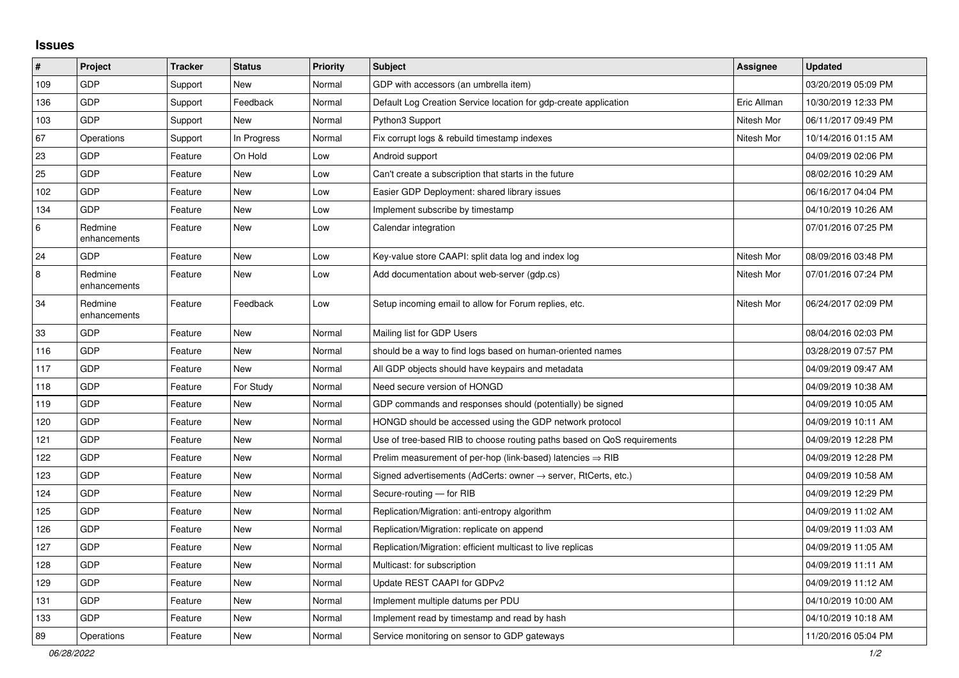## **Issues**

| #       | Project                 | <b>Tracker</b> | <b>Status</b> | <b>Priority</b> | <b>Subject</b>                                                          | <b>Assignee</b> | <b>Updated</b>      |
|---------|-------------------------|----------------|---------------|-----------------|-------------------------------------------------------------------------|-----------------|---------------------|
| 109     | <b>GDP</b>              | Support        | <b>New</b>    | Normal          | GDP with accessors (an umbrella item)                                   |                 | 03/20/2019 05:09 PM |
| 136     | <b>GDP</b>              | Support        | Feedback      | Normal          | Default Log Creation Service location for gdp-create application        | Eric Allman     | 10/30/2019 12:33 PM |
| 103     | GDP                     | Support        | <b>New</b>    | Normal          | Python3 Support                                                         | Nitesh Mor      | 06/11/2017 09:49 PM |
| 67      | Operations              | Support        | In Progress   | Normal          | Fix corrupt logs & rebuild timestamp indexes                            | Nitesh Mor      | 10/14/2016 01:15 AM |
| 23      | GDP                     | Feature        | On Hold       | Low             | Android support                                                         |                 | 04/09/2019 02:06 PM |
| 25      | GDP                     | Feature        | <b>New</b>    | Low             | Can't create a subscription that starts in the future                   |                 | 08/02/2016 10:29 AM |
| 102     | <b>GDP</b>              | Feature        | <b>New</b>    | Low             | Easier GDP Deployment: shared library issues                            |                 | 06/16/2017 04:04 PM |
| 134     | <b>GDP</b>              | Feature        | <b>New</b>    | Low             | Implement subscribe by timestamp                                        |                 | 04/10/2019 10:26 AM |
| $\,6\,$ | Redmine<br>enhancements | Feature        | <b>New</b>    | Low             | Calendar integration                                                    |                 | 07/01/2016 07:25 PM |
| 24      | GDP                     | Feature        | New           | Low             | Key-value store CAAPI: split data log and index log                     | Nitesh Mor      | 08/09/2016 03:48 PM |
| 8       | Redmine<br>enhancements | Feature        | <b>New</b>    | Low             | Add documentation about web-server (gdp.cs)                             | Nitesh Mor      | 07/01/2016 07:24 PM |
| 34      | Redmine<br>enhancements | Feature        | Feedback      | Low             | Setup incoming email to allow for Forum replies, etc.                   | Nitesh Mor      | 06/24/2017 02:09 PM |
| 33      | GDP                     | Feature        | <b>New</b>    | Normal          | Mailing list for GDP Users                                              |                 | 08/04/2016 02:03 PM |
| 116     | <b>GDP</b>              | Feature        | <b>New</b>    | Normal          | should be a way to find logs based on human-oriented names              |                 | 03/28/2019 07:57 PM |
| 117     | <b>GDP</b>              | Feature        | <b>New</b>    | Normal          | All GDP objects should have keypairs and metadata                       |                 | 04/09/2019 09:47 AM |
| 118     | GDP                     | Feature        | For Study     | Normal          | Need secure version of HONGD                                            |                 | 04/09/2019 10:38 AM |
| 119     | GDP                     | Feature        | New           | Normal          | GDP commands and responses should (potentially) be signed               |                 | 04/09/2019 10:05 AM |
| 120     | GDP                     | Feature        | <b>New</b>    | Normal          | HONGD should be accessed using the GDP network protocol                 |                 | 04/09/2019 10:11 AM |
| 121     | <b>GDP</b>              | Feature        | New           | Normal          | Use of tree-based RIB to choose routing paths based on QoS requirements |                 | 04/09/2019 12:28 PM |
| 122     | GDP                     | Feature        | <b>New</b>    | Normal          | Prelim measurement of per-hop (link-based) latencies $\Rightarrow$ RIB  |                 | 04/09/2019 12:28 PM |
| 123     | <b>GDP</b>              | Feature        | <b>New</b>    | Normal          | Signed advertisements (AdCerts: owner → server, RtCerts, etc.)          |                 | 04/09/2019 10:58 AM |
| 124     | GDP                     | Feature        | <b>New</b>    | Normal          | Secure-routing - for RIB                                                |                 | 04/09/2019 12:29 PM |
| 125     | <b>GDP</b>              | Feature        | <b>New</b>    | Normal          | Replication/Migration: anti-entropy algorithm                           |                 | 04/09/2019 11:02 AM |
| 126     | <b>GDP</b>              | Feature        | New           | Normal          | Replication/Migration: replicate on append                              |                 | 04/09/2019 11:03 AM |
| 127     | GDP                     | Feature        | <b>New</b>    | Normal          | Replication/Migration: efficient multicast to live replicas             |                 | 04/09/2019 11:05 AM |
| 128     | <b>GDP</b>              | Feature        | <b>New</b>    | Normal          | Multicast: for subscription                                             |                 | 04/09/2019 11:11 AM |
| 129     | GDP                     | Feature        | New           | Normal          | Update REST CAAPI for GDPv2                                             |                 | 04/09/2019 11:12 AM |
| 131     | <b>GDP</b>              | Feature        | <b>New</b>    | Normal          | Implement multiple datums per PDU                                       |                 | 04/10/2019 10:00 AM |
| 133     | GDP                     | Feature        | <b>New</b>    | Normal          | Implement read by timestamp and read by hash                            |                 | 04/10/2019 10:18 AM |
| 89      | Operations              | Feature        | New           | Normal          | Service monitoring on sensor to GDP gateways                            |                 | 11/20/2016 05:04 PM |